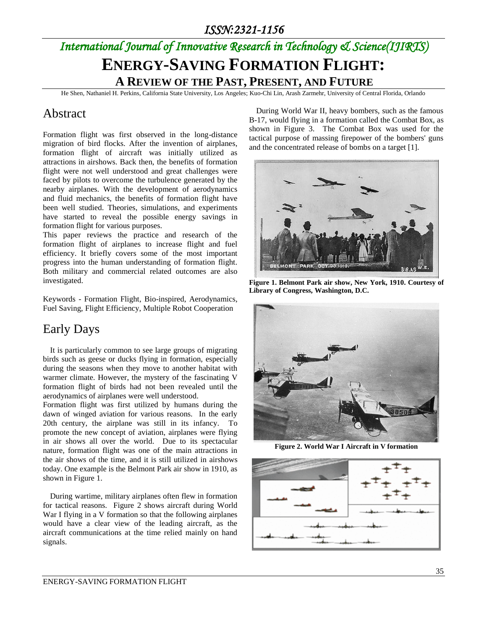## *International Journal of Innovative Research in Technology & Science(IJIRTS)*

## **ENERGY-SAVING FORMATION FLIGHT: A REVIEW OF THE PAST, PRESENT, AND FUTURE**

He Shen, Nathaniel H. Perkins, California State University, Los Angeles; Kuo-Chi Lin, Arash Zarmehr, University of Central Florida, Orlando

#### Abstract

Formation flight was first observed in the long-distance migration of bird flocks. After the invention of airplanes, formation flight of aircraft was initially utilized as attractions in airshows. Back then, the benefits of formation flight were not well understood and great challenges were faced by pilots to overcome the turbulence generated by the nearby airplanes. With the development of aerodynamics and fluid mechanics, the benefits of formation flight have been well studied. Theories, simulations, and experiments have started to reveal the possible energy savings in formation flight for various purposes.

This paper reviews the practice and research of the formation flight of airplanes to increase flight and fuel efficiency. It briefly covers some of the most important progress into the human understanding of formation flight. Both military and commercial related outcomes are also investigated.

Keywords - Formation Flight, Bio-inspired, Aerodynamics, Fuel Saving, Flight Efficiency, Multiple Robot Cooperation

### Early Days

It is particularly common to see large groups of migrating birds such as geese or ducks flying in formation, especially during the seasons when they move to another habitat with warmer climate. However, the mystery of the fascinating V formation flight of birds had not been revealed until the aerodynamics of airplanes were well understood.

Formation flight was first utilized by humans during the dawn of winged aviation for various reasons. In the early 20th century, the airplane was still in its infancy. To promote the new concept of aviation, airplanes were flying in air shows all over the world. Due to its spectacular nature, formation flight was one of the main attractions in the air shows of the time, and it is still utilized in airshows today. One example is the Belmont Park air show in 1910, as shown in Figure 1.

During wartime, military airplanes often flew in formation for tactical reasons. Figure 2 shows aircraft during World War I flying in a V formation so that the following airplanes would have a clear view of the leading aircraft, as the aircraft communications at the time relied mainly on hand signals.

During World War II, heavy bombers, such as the famous B-17, would flying in a formation called the Combat Box, as shown in Figure 3. The Combat Box was used for the tactical purpose of massing firepower of the bombers' guns and the concentrated release of bombs on a target [1].



**Figure 1. Belmont Park air show, New York, 1910. Courtesy of Library of Congress, Washington, D.C.**



**Figure 2. World War I Aircraft in V formation**

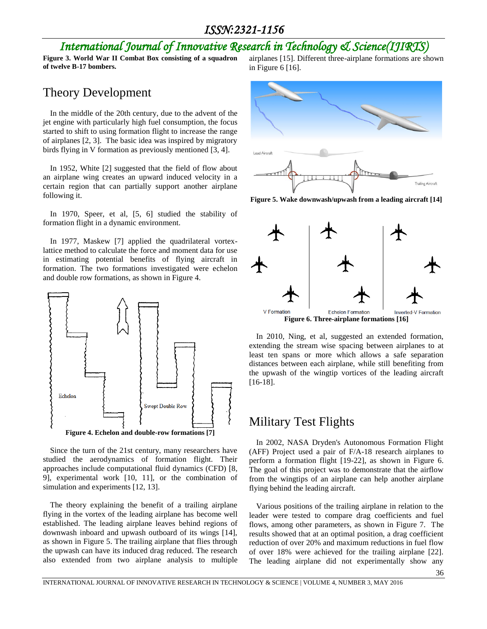#### *ISSN:2321-1156*

### *International Journal of Innovative Research in Technology & Science(IJIRTS)*

**Figure 3. World War II Combat Box consisting of a squadron of twelve B-17 bombers.**

#### Theory Development

In the middle of the 20th century, due to the advent of the jet engine with particularly high fuel consumption, the focus started to shift to using formation flight to increase the range of airplanes [2, 3]. The basic idea was inspired by migratory birds flying in V formation as previously mentioned [3, 4].

In 1952, White [2] suggested that the field of flow about an airplane wing creates an upward induced velocity in a certain region that can partially support another airplane following it.

In 1970, Speer, et al, [5, 6] studied the stability of formation flight in a dynamic environment.

In 1977, Maskew [7] applied the quadrilateral vortexlattice method to calculate the force and moment data for use in estimating potential benefits of flying aircraft in formation. The two formations investigated were echelon and double row formations, as shown in Figure 4.



Since the turn of the 21st century, many researchers have studied the aerodynamics of formation flight. Their approaches include computational fluid dynamics (CFD) [8, 9], experimental work [10, 11], or the combination of simulation and experiments [12, 13].

The theory explaining the benefit of a trailing airplane flying in the vortex of the leading airplane has become well established. The leading airplane leaves behind regions of downwash inboard and upwash outboard of its wings [14], as shown in Figure 5. The trailing airplane that flies through the upwash can have its induced drag reduced. The research also extended from two airplane analysis to multiple

airplanes [15]. Different three-airplane formations are shown in Figure 6 [16].



**Figure 5. Wake downwash/upwash from a leading aircraft [14]**



**Figure 6. Three-airplane formations [16]**

In 2010, Ning, et al, suggested an extended formation, extending the stream wise spacing between airplanes to at least ten spans or more which allows a safe separation distances between each airplane, while still benefiting from the upwash of the wingtip vortices of the leading aircraft [16-18].

#### Military Test Flights

In 2002, NASA Dryden's Autonomous Formation Flight (AFF) Project used a pair of F/A-18 research airplanes to perform a formation flight [19-22], as shown in Figure 6. The goal of this project was to demonstrate that the airflow from the wingtips of an airplane can help another airplane flying behind the leading aircraft.

Various positions of the trailing airplane in relation to the leader were tested to compare drag coefficients and fuel flows, among other parameters, as shown in Figure 7. The results showed that at an optimal position, a drag coefficient reduction of over 20% and maximum reductions in fuel flow of over 18% were achieved for the trailing airplane [22]. The leading airplane did not experimentally show any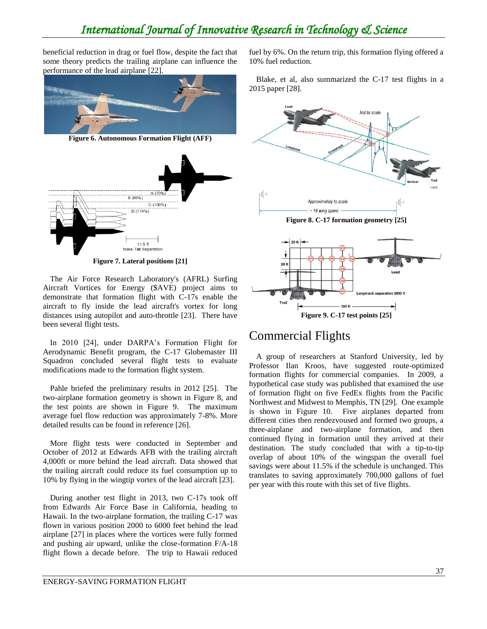### *International Journal of Innovative Research in Technology & Science*

beneficial reduction in drag or fuel flow, despite the fact that some theory predicts the trailing airplane can influence the performance of the lead airplane [22].



**Figure 6. Autonomous Formation Flight (AFF)**



**Figure 7. Lateral positions [21]**

The Air Force Research Laboratory's (AFRL) Surfing Aircraft Vortices for Energy (\$AVE) project aims to demonstrate that formation flight with C-17s enable the aircraft to fly inside the lead aircraft's vortex for long distances using autopilot and auto-throttle [23]. There have been several flight tests.

In 2010 [24], under DARPA's Formation Flight for Aerodynamic Benefit program, the C-17 Globemaster III Squadron concluded several flight tests to evaluate modifications made to the formation flight system.

Pahle briefed the preliminary results in 2012 [25]. The two-airplane formation geometry is shown in Figure 8, and the test points are shown in Figure 9. The maximum average fuel flow reduction was approximately 7-8%. More detailed results can be found in reference [26].

More flight tests were conducted in September and October of 2012 at Edwards AFB with the trailing aircraft 4,000ft or more behind the lead aircraft. Data showed that the trailing aircraft could reduce its fuel consumption up to 10% by flying in the wingtip vortex of the lead aircraft [23].

During another test flight in 2013, two C-17s took off from Edwards Air Force Base in California, heading to Hawaii. In the two-airplane formation, the trailing C-17 was flown in various position 2000 to 6000 feet behind the lead airplane [27] in places where the vortices were fully formed and pushing air upward, unlike the close-formation F/A-18 flight flown a decade before. The trip to Hawaii reduced

fuel by 6%. On the return trip, this formation flying offered a 10% fuel reduction.

Blake, et al, also summarized the C-17 test flights in a 2015 paper [28].



#### Commercial Flights

A group of researchers at Stanford University, led by Professor Ilan Kroos, have suggested route-optimized formation flights for commercial companies. In 2009, a hypothetical case study was published that examined the use of formation flight on five FedEx flights from the Pacific Northwest and Midwest to Memphis, TN [29]. One example is shown in Figure 10. Five airplanes departed from different cities then rendezvoused and formed two groups, a three-airplane and two-airplane formation, and then continued flying in formation until they arrived at their destination. The study concluded that with a tip-to-tip overlap of about 10% of the wingspan the overall fuel savings were about 11.5% if the schedule is unchanged. This translates to saving approximately 700,000 gallons of fuel per year with this route with this set of five flights.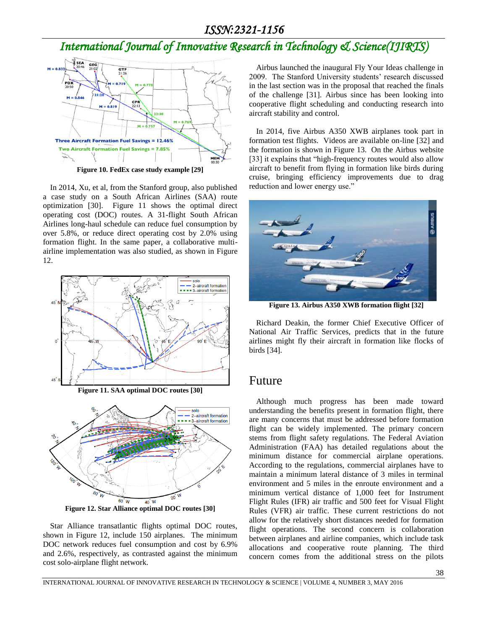## *International Journal of Innovative Research in Technology & Science(IJIRTS)*



In 2014, Xu, et al, from the Stanford group, also published a case study on a South African Airlines (SAA) route optimization [30]. Figure 11 shows the optimal direct operating cost (DOC) routes. A 31-flight South African Airlines long-haul schedule can reduce fuel consumption by over 5.8%, or reduce direct operating cost by 2.0% using formation flight. In the same paper, a collaborative multiairline implementation was also studied, as shown in Figure 12.



**Figure 11. SAA optimal DOC routes [30]**



**Figure 12. Star Alliance optimal DOC routes [30]**

Star Alliance transatlantic flights optimal DOC routes, shown in Figure 12, include 150 airplanes. The minimum DOC network reduces fuel consumption and cost by 6.9% and 2.6%, respectively, as contrasted against the minimum cost solo-airplane flight network.

Airbus launched the inaugural Fly Your Ideas challenge in 2009. The Stanford University students' research discussed in the last section was in the proposal that reached the finals of the challenge [31]. Airbus since has been looking into cooperative flight scheduling and conducting research into aircraft stability and control.

In 2014, five Airbus A350 XWB airplanes took part in formation test flights. Videos are available on-line [32] and the formation is shown in Figure 13. On the Airbus website [33] it explains that "high-frequency routes would also allow aircraft to benefit from flying in formation like birds during cruise, bringing efficiency improvements due to drag reduction and lower energy use."



**Figure 13. Airbus A350 XWB formation flight [32]**

Richard Deakin, the former Chief Executive Officer of National Air Traffic Services, predicts that in the future airlines might fly their aircraft in formation like flocks of birds [34].

#### Future

Although much progress has been made toward understanding the benefits present in formation flight, there are many concerns that must be addressed before formation flight can be widely implemented. The primary concern stems from flight safety regulations. The Federal Aviation Administration (FAA) has detailed regulations about the minimum distance for commercial airplane operations. According to the regulations, commercial airplanes have to maintain a minimum lateral distance of 3 miles in terminal environment and 5 miles in the enroute environment and a minimum vertical distance of 1,000 feet for Instrument Flight Rules (IFR) air traffic and 500 feet for Visual Flight Rules (VFR) air traffic. These current restrictions do not allow for the relatively short distances needed for formation flight operations. The second concern is collaboration between airplanes and airline companies, which include task allocations and cooperative route planning. The third concern comes from the additional stress on the pilots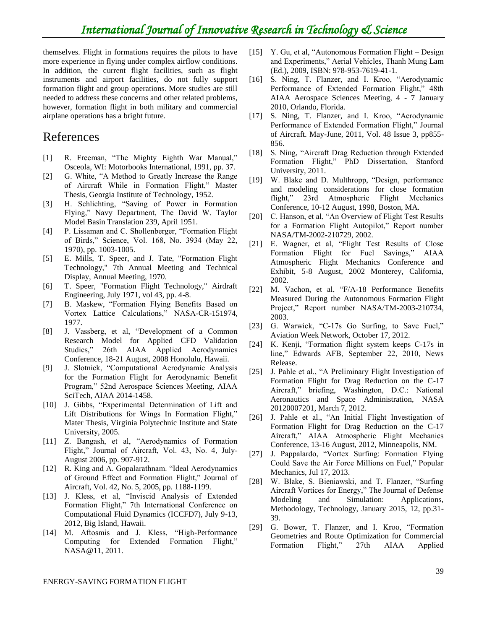themselves. Flight in formations requires the pilots to have more experience in flying under complex airflow conditions. In addition, the current flight facilities, such as flight instruments and airport facilities, do not fully support formation flight and group operations. More studies are still needed to address these concerns and other related problems, however, formation flight in both military and commercial airplane operations has a bright future.

### References

- [1] R. Freeman, "The Mighty Eighth War Manual," Osceola, WI: Motorbooks International, 1991, pp. 37.
- [2] G. White, "A Method to Greatly Increase the Range of Aircraft While in Formation Flight," Master Thesis, Georgia Institute of Technology, 1952.
- [3] H. Schlichting, "Saving of Power in Formation Flying," Navy Department, The David W. Taylor Model Basin Translation 239, April 1951.
- [4] P. Lissaman and C. Shollenberger, "Formation Flight of Birds," Science, Vol. 168, No. 3934 (May 22, 1970), pp. 1003-1005.
- [5] E. Mills, T. Speer, and J. Tate, "Formation Flight Technology," 7th Annual Meeting and Technical Display, Annual Meeting, 1970.
- [6] T. Speer, "Formation Flight Technology," Airdraft Engineering, July 1971, vol 43, pp. 4-8.
- [7] B. Maskew, "Formation Flying Benefits Based on Vortex Lattice Calculations," NASA-CR-151974, 1977.
- [8] J. Vassberg, et al, "Development of a Common Research Model for Applied CFD Validation Studies," 26th AIAA Applied Aerodynamics Conference, 18-21 August, 2008 Honolulu, Hawaii.
- [9] J. Slotnick, "Computational Aerodynamic Analysis for the Formation Flight for Aerodynamic Benefit Program," 52nd Aerospace Sciences Meeting, AIAA SciTech, AIAA 2014-1458.
- [10] J. Gibbs, "Experimental Determination of Lift and Lift Distributions for Wings In Formation Flight," Mater Thesis, Virginia Polytechnic Institute and State University, 2005.
- [11] Z. Bangash, et al, "Aerodynamics of Formation Flight," Journal of Aircraft, Vol. 43, No. 4, July-August 2006, pp. 907-912.
- [12] R. King and A. Gopalarathnam. "Ideal Aerodynamics" of Ground Effect and Formation Flight," Journal of Aircraft, Vol. 42, No. 5, 2005, pp. 1188-1199.
- [13] J. Kless, et al, "Inviscid Analysis of Extended Formation Flight," 7th International Conference on Computational Fluid Dynamics (ICCFD7), July 9-13, 2012, Big Island, Hawaii.
- [14] M. Aftosmis and J. Kless, "High-Performance Computing for Extended Formation Flight," NASA@11, 2011.
- [15] Y. Gu, et al, "Autonomous Formation Flight Design and Experiments," Aerial Vehicles, Thanh Mung Lam (Ed.), 2009, ISBN: 978-953-7619-41-1.
- [16] S. Ning, T. Flanzer, and I. Kroo, "Aerodynamic Performance of Extended Formation Flight," 48th AIAA Aerospace Sciences Meeting, 4 - 7 January 2010, Orlando, Florida.
- [17] S. Ning, T. Flanzer, and I. Kroo, "Aerodynamic Performance of Extended Formation Flight," Journal of Aircraft. May-June, 2011, Vol. 48 Issue 3, pp855- 856.
- [18] S. Ning, "Aircraft Drag Reduction through Extended Formation Flight," PhD Dissertation, Stanford University, 2011.
- [19] W. Blake and D. Multhropp, "Design, performance and modeling considerations for close formation flight," 23rd Atmospheric Flight Mechanics Conference, 10-12 August, 1998, Boston, MA.
- [20] C. Hanson, et al, "An Overview of Flight Test Results for a Formation Flight Autopilot," Report number NASA/TM-2002-210729, 2002.
- [21] E. Wagner, et al, "Flight Test Results of Close Formation Flight for Fuel Savings," AIAA Atmospheric Flight Mechanics Conference and Exhibit, 5-8 August, 2002 Monterey, California, 2002.
- [22] M. Vachon, et al, "F/A-18 Performance Benefits Measured During the Autonomous Formation Flight Project," Report number NASA/TM-2003-210734, 2003.
- [23] G. Warwick, "C-17s Go Surfing, to Save Fuel," Aviation Week Network, October 17, 2012.
- [24] K. Kenji, "Formation flight system keeps C-17s in line," Edwards AFB, September 22, 2010, News Release.
- [25] J. Pahle et al., "A Preliminary Flight Investigation of Formation Flight for Drag Reduction on the C-17 Aircraft," briefing, Washington, D.C.: National Aeronautics and Space Administration, NASA 20120007201, March 7, 2012.
- [26] J. Pahle et al., "An Initial Flight Investigation of Formation Flight for Drag Reduction on the C-17 Aircraft," AIAA Atmospheric Flight Mechanics Conference, 13-16 August, 2012, Minneapolis, NM.
- [27] J. Pappalardo, "Vortex Surfing: Formation Flying Could Save the Air Force Millions on Fuel," Popular Mechanics, Jul 17, 2013.
- [28] W. Blake, S. Bieniawski, and T. Flanzer, "Surfing Aircraft Vortices for Energy," The Journal of Defense Modeling and Simulation: Applications, Methodology, Technology, January 2015, 12, pp.31- 39.
- [29] G. Bower, T. Flanzer, and I. Kroo, "Formation Geometries and Route Optimization for Commercial Formation Flight," 27th AIAA Applied